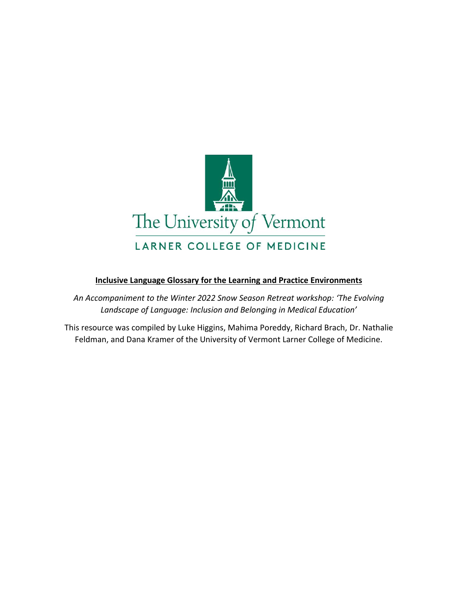

# **Inclusive Language Glossary for the Learning and Practice Environments**

*An Accompaniment to the Winter 2022 Snow Season Retreat workshop: 'The Evolving Landscape of Language: Inclusion and Belonging in Medical Education'*

This resource was compiled by Luke Higgins, Mahima Poreddy, Richard Brach, Dr. Nathalie Feldman, and Dana Kramer of the University of Vermont Larner College of Medicine.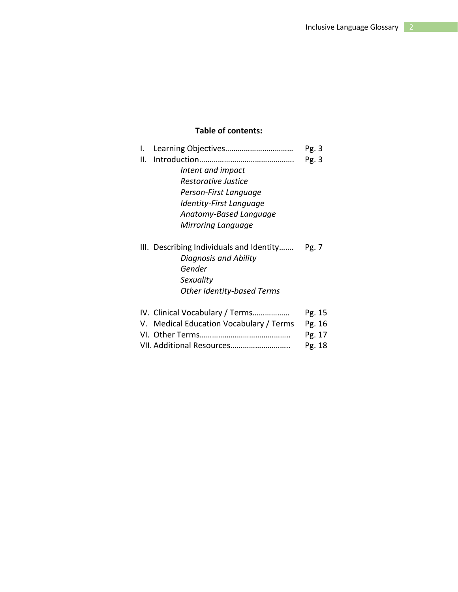# **Table of contents:**

| I.                                       | Pg. 3  |
|------------------------------------------|--------|
| Ⅱ.                                       | Pg. 3  |
| Intent and impact                        |        |
| Restorative Justice                      |        |
| Person-First Language                    |        |
| Identity-First Language                  |        |
| Anatomy-Based Language                   |        |
| Mirroring Language                       |        |
| III. Describing Individuals and Identity | Pg. 7  |
| Diagnosis and Ability                    |        |
| Gender                                   |        |
| Sexuality                                |        |
| <b>Other Identity-based Terms</b>        |        |
| IV. Clinical Vocabulary / Terms          | Pg. 15 |
| V. Medical Education Vocabulary / Terms  | Pg. 16 |
|                                          | Pg. 17 |
| VII. Additional Resources                | Pg. 18 |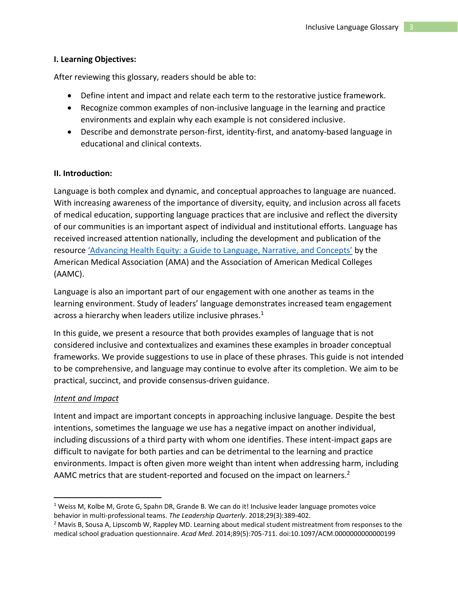## **I. Learning Objectives:**

After reviewing this glossary, readers should be able to:

- Define intent and impact and relate each term to the restorative justice framework.
- Recognize common examples of non-inclusive language in the learning and practice environments and explain why each example is not considered inclusive.
- Describe and demonstrate person-first, identity-first, and anatomy-based language in educational and clinical contexts.

# **II. Introduction:**

Language is both complex and dynamic, and conceptual approaches to language are nuanced. With increasing awareness of the importance of diversity, equity, and inclusion across all facets of medical education, supporting language practices that are inclusive and reflect the diversity of our communities is an important aspect of individual and institutional efforts. Language has received increased attention nationally, including the development and publication of the resource ['Advancing Health Equity: a Guide to Language, Narrative, and Concepts'](https://www.ama-assn.org/system/files/ama-aamc-equity-guide.pdf) by the American Medical Association (AMA) and the Association of American Medical Colleges (AAMC).

Language is also an important part of our engagement with one another as teams in the learning environment. Study of leaders' language demonstrates increased team engagement across a hierarchy when leaders utilize inclusive phrases.<sup>1</sup>

In this guide, we present a resource that both provides examples of language that is not considered inclusive and contextualizes and examines these examples in broader conceptual frameworks. We provide suggestions to use in place of these phrases. This guide is not intended to be comprehensive, and language may continue to evolve after its completion. We aim to be practical, succinct, and provide consensus-driven guidance.

#### *Intent and Impact*

Intent and impact are important concepts in approaching inclusive language. Despite the best intentions, sometimes the language we use has a negative impact on another individual, including discussions of a third party with whom one identifies. These intent-impact gaps are difficult to navigate for both parties and can be detrimental to the learning and practice environments. Impact is often given more weight than intent when addressing harm, including AAMC metrics that are student-reported and focused on the impact on learners.<sup>2</sup>

 $1$  Weiss M, Kolbe M, Grote G, Spahn DR, Grande B. We can do it! Inclusive leader language promotes voice behavior in multi-professional teams. *The Leadership Quarterly*. 2018;29(3):389-402.

<sup>&</sup>lt;sup>2</sup> Mavis B, Sousa A, Lipscomb W, Rappley MD. Learning about medical student mistreatment from responses to the medical school graduation questionnaire. *Acad Med*. 2014;89(5):705-711. doi:10.1097/ACM.0000000000000199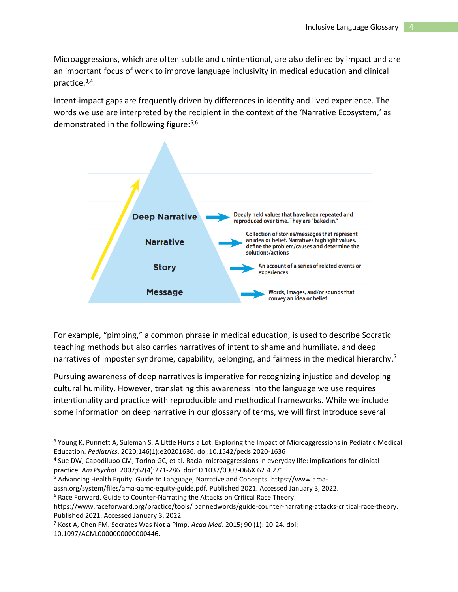Microaggressions, which are often subtle and unintentional, are also defined by impact and are an important focus of work to improve language inclusivity in medical education and clinical practice. 3,4

Intent-impact gaps are frequently driven by differences in identity and lived experience. The words we use are interpreted by the recipient in the context of the 'Narrative Ecosystem,' as demonstrated in the following figure:5,6



For example, "pimping," a common phrase in medical education, is used to describe Socratic teaching methods but also carries narratives of intent to shame and humiliate, and deep narratives of imposter syndrome, capability, belonging, and fairness in the medical hierarchy.<sup>7</sup>

Pursuing awareness of deep narratives is imperative for recognizing injustice and developing cultural humility. However, translating this awareness into the language we use requires intentionality and practice with reproducible and methodical frameworks. While we include some information on deep narrative in our glossary of terms, we will first introduce several

<sup>&</sup>lt;sup>3</sup> Young K, Punnett A, Suleman S. A Little Hurts a Lot: Exploring the Impact of Microaggressions in Pediatric Medical Education. *Pediatrics*. 2020;146(1):e20201636. doi:10.1542/peds.2020-1636

<sup>4</sup> Sue DW, Capodilupo CM, Torino GC, et al. Racial microaggressions in everyday life: implications for clinical practice. *Am Psychol*. 2007;62(4):271-286. doi:10.1037/0003-066X.62.4.271

<sup>5</sup> Advancing Health Equity: Guide to Language, Narrative and Concepts. https://www.ama-

assn.org/system/files/ama-aamc-equity-guide.pdf. Published 2021. Accessed January 3, 2022.

<sup>&</sup>lt;sup>6</sup> Race Forward. Guide to Counter-Narrating the Attacks on Critical Race Theory.

https://www.raceforward.org/practice/tools/ bannedwords/guide-counter-narrating-attacks-critical-race-theory. Published 2021. Accessed January 3, 2022.

<sup>7</sup> Kost A, Chen FM. Socrates Was Not a Pimp. *Acad Med*. 2015; 90 (1): 20-24. doi: 10.1097/ACM.0000000000000446.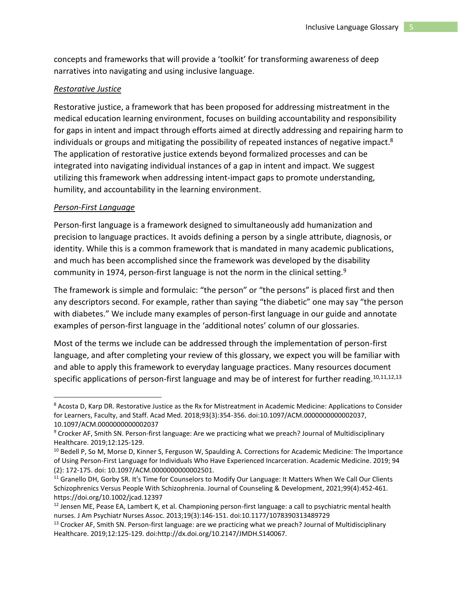concepts and frameworks that will provide a 'toolkit' for transforming awareness of deep narratives into navigating and using inclusive language.

#### *Restorative Justice*

Restorative justice, a framework that has been proposed for addressing mistreatment in the medical education learning environment, focuses on building accountability and responsibility for gaps in intent and impact through efforts aimed at directly addressing and repairing harm to individuals or groups and mitigating the possibility of repeated instances of negative impact.<sup>8</sup> The application of restorative justice extends beyond formalized processes and can be integrated into navigating individual instances of a gap in intent and impact. We suggest utilizing this framework when addressing intent-impact gaps to promote understanding, humility, and accountability in the learning environment.

#### *Person-First Language*

Person-first language is a framework designed to simultaneously add humanization and precision to language practices. It avoids defining a person by a single attribute, diagnosis, or identity. While this is a common framework that is mandated in many academic publications, and much has been accomplished since the framework was developed by the disability community in 1974, person-first language is not the norm in the clinical setting.<sup>9</sup>

The framework is simple and formulaic: "the person" or "the persons" is placed first and then any descriptors second. For example, rather than saying "the diabetic" one may say "the person with diabetes." We include many examples of person-first language in our guide and annotate examples of person-first language in the 'additional notes' column of our glossaries.

Most of the terms we include can be addressed through the implementation of person-first language, and after completing your review of this glossary, we expect you will be familiar with and able to apply this framework to everyday language practices. Many resources document specific applications of person-first language and may be of interest for further reading.<sup>10,11,12,13</sup>

<sup>8</sup> Acosta D, Karp DR. Restorative Justice as the Rx for Mistreatment in Academic Medicine: Applications to Consider for Learners, Faculty, and Staff. Acad Med. 2018;93(3):354-356. doi:10.1097/ACM.0000000000002037, 10.1097/ACM.0000000000002037

<sup>9</sup> Crocker AF, Smith SN. Person-first language: Are we practicing what we preach? Journal of Multidisciplinary Healthcare. 2019;12:125-129.

<sup>&</sup>lt;sup>10</sup> Bedell P, So M, Morse D, Kinner S, Ferguson W, Spaulding A. Corrections for Academic Medicine: The Importance of Using Person-First Language for Individuals Who Have Experienced Incarceration. Academic Medicine. 2019; 94 (2): 172-175. doi: 10.1097/ACM.0000000000002501.

<sup>&</sup>lt;sup>11</sup> Granello DH, Gorby SR. It's Time for Counselors to Modify Our Language: It Matters When We Call Our Clients Schizophrenics Versus People With Schizophrenia. Journal of Counseling & Development, 2021;99(4):452-461. https://doi.org/10.1002/jcad.12397

<sup>&</sup>lt;sup>12</sup> Jensen ME, Pease EA, Lambert K, et al. Championing person-first language: a call to psychiatric mental health nurses. J Am Psychiatr Nurses Assoc. 2013;19(3):146-151. doi:10.1177/1078390313489729

<sup>&</sup>lt;sup>13</sup> Crocker AF, Smith SN. Person-first language: are we practicing what we preach? Journal of Multidisciplinary Healthcare. 2019;12:125-129. doi:http://dx.doi.org/10.2147/JMDH.S140067.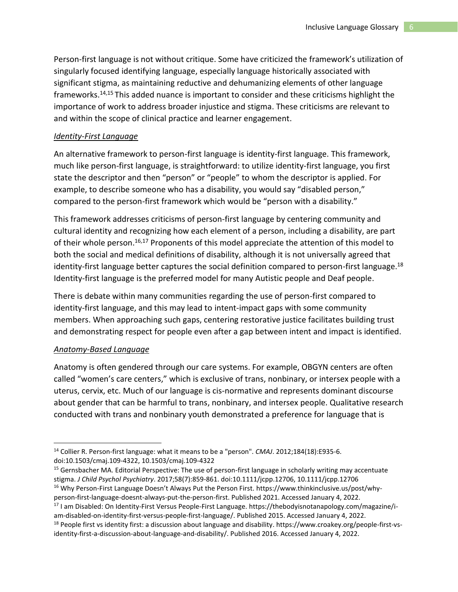Person-first language is not without critique. Some have criticized the framework's utilization of singularly focused identifying language, especially language historically associated with significant stigma, as maintaining reductive and dehumanizing elements of other language frameworks. 14,15 This added nuance is important to consider and these criticisms highlight the importance of work to address broader injustice and stigma. These criticisms are relevant to and within the scope of clinical practice and learner engagement.

# *Identity-First Language*

An alternative framework to person-first language is identity-first language. This framework, much like person-first language, is straightforward: to utilize identity-first language, you first state the descriptor and then "person" or "people" to whom the descriptor is applied. For example, to describe someone who has a disability, you would say "disabled person," compared to the person-first framework which would be "person with a disability."

This framework addresses criticisms of person-first language by centering community and cultural identity and recognizing how each element of a person, including a disability, are part of their whole person.<sup>16,17</sup> Proponents of this model appreciate the attention of this model to both the social and medical definitions of disability, although it is not universally agreed that identity-first language better captures the social definition compared to person-first language.<sup>18</sup> Identity-first language is the preferred model for many Autistic people and Deaf people.

There is debate within many communities regarding the use of person-first compared to identity-first language, and this may lead to intent-impact gaps with some community members. When approaching such gaps, centering restorative justice facilitates building trust and demonstrating respect for people even after a gap between intent and impact is identified.

# *Anatomy-Based Language*

Anatomy is often gendered through our care systems. For example, OBGYN centers are often called "women's care centers," which is exclusive of trans, nonbinary, or intersex people with a uterus, cervix, etc. Much of our language is cis-normative and represents dominant discourse about gender that can be harmful to trans, nonbinary, and intersex people. Qualitative research conducted with trans and nonbinary youth demonstrated a preference for language that is

<sup>14</sup> Collier R. Person-first language: what it means to be a "person". *CMAJ*. 2012;184(18):E935-6. doi:10.1503/cmaj.109-4322, 10.1503/cmaj.109-4322

<sup>&</sup>lt;sup>15</sup> Gernsbacher MA. Editorial Perspective: The use of person-first language in scholarly writing may accentuate stigma. *J Child Psychol Psychiatry*. 2017;58(7):859-861. doi:10.1111/jcpp.12706, 10.1111/jcpp.12706 <sup>16</sup> Why Person-First Language Doesn't Always Put the Person First. https://www.thinkinclusive.us/post/why-

person-first-language-doesnt-always-put-the-person-first. Published 2021. Accessed January 4, 2022.

<sup>17</sup> I am Disabled: On Identity-First Versus People-First Language. https://thebodyisnotanapology.com/magazine/iam-disabled-on-identity-first-versus-people-first-language/. Published 2015. Accessed January 4, 2022.

 $18$  People first vs identity first: a discussion about language and disability. https://www.croakey.org/people-first-vsidentity-first-a-discussion-about-language-and-disability/. Published 2016. Accessed January 4, 2022.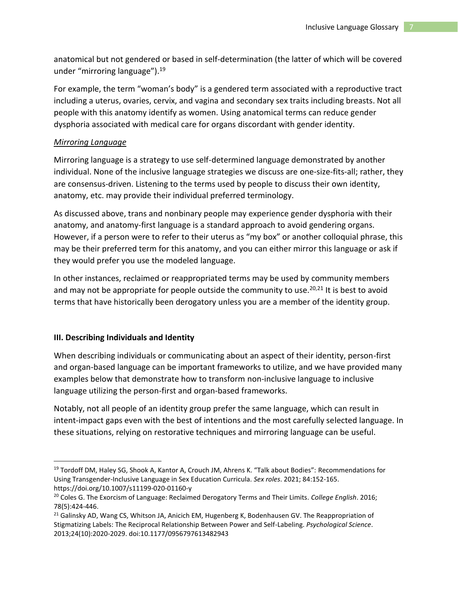anatomical but not gendered or based in self-determination (the latter of which will be covered under "mirroring language").<sup>19</sup>

For example, the term "woman's body" is a gendered term associated with a reproductive tract including a uterus, ovaries, cervix, and vagina and secondary sex traits including breasts. Not all people with this anatomy identify as women. Using anatomical terms can reduce gender dysphoria associated with medical care for organs discordant with gender identity.

#### *Mirroring Language*

Mirroring language is a strategy to use self-determined language demonstrated by another individual. None of the inclusive language strategies we discuss are one-size-fits-all; rather, they are consensus-driven. Listening to the terms used by people to discuss their own identity, anatomy, etc. may provide their individual preferred terminology.

As discussed above, trans and nonbinary people may experience gender dysphoria with their anatomy, and anatomy-first language is a standard approach to avoid gendering organs. However, if a person were to refer to their uterus as "my box" or another colloquial phrase, this may be their preferred term for this anatomy, and you can either mirror this language or ask if they would prefer you use the modeled language.

In other instances, reclaimed or reappropriated terms may be used by community members and may not be appropriate for people outside the community to use.<sup>20,21</sup> It is best to avoid terms that have historically been derogatory unless you are a member of the identity group.

#### **III. Describing Individuals and Identity**

When describing individuals or communicating about an aspect of their identity, person-first and organ-based language can be important frameworks to utilize, and we have provided many examples below that demonstrate how to transform non-inclusive language to inclusive language utilizing the person-first and organ-based frameworks.

Notably, not all people of an identity group prefer the same language, which can result in intent-impact gaps even with the best of intentions and the most carefully selected language. In these situations, relying on restorative techniques and mirroring language can be useful.

<sup>&</sup>lt;sup>19</sup> Tordoff DM, Haley SG, Shook A, Kantor A, Crouch JM, Ahrens K. "Talk about Bodies": Recommendations for Using Transgender-Inclusive Language in Sex Education Curricula. *Sex roles*. 2021; 84:152-165. https://doi.org/10.1007/s11199-020-01160-y

<sup>20</sup> Coles G. The Exorcism of Language: Reclaimed Derogatory Terms and Their Limits. *College English*. 2016; 78(5):424-446.

<sup>&</sup>lt;sup>21</sup> Galinsky AD, Wang CS, Whitson JA, Anicich EM, Hugenberg K, Bodenhausen GV. The Reappropriation of Stigmatizing Labels: The Reciprocal Relationship Between Power and Self-Labeling. *Psychological Science*. 2013;24(10):2020-2029. doi:10.1177/0956797613482943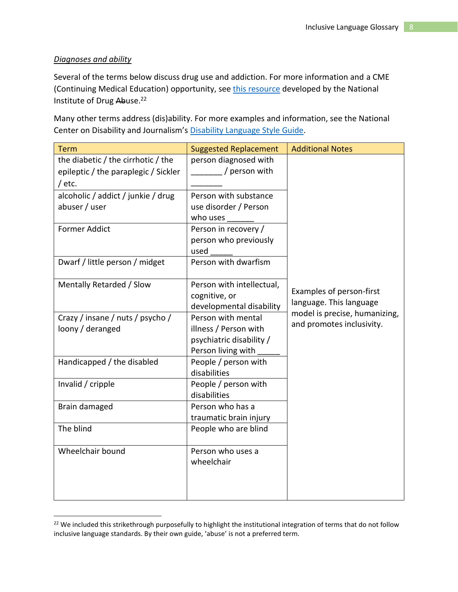# *Diagnoses and ability*

Several of the terms below discuss drug use and addiction. For more information and a CME (Continuing Medical Education) opportunity, see [this resource](https://www.drugabuse.gov/nidamed-medical-health-professionals/health-professions-education/words-matter-terms-to-use-avoid-when-talking-about-addiction) developed by the National Institute of Drug Abuse.<sup>22</sup>

Many other terms address (dis)ability. For more examples and information, see the National Center on Disability and Journalism's [Disability Language Style Guide.](https://ncdj.org/style-guide/)

| <b>Term</b>                                                                | <b>Suggested Replacement</b>                   | <b>Additional Notes</b>                                  |
|----------------------------------------------------------------------------|------------------------------------------------|----------------------------------------------------------|
| the diabetic / the cirrhotic / the<br>epileptic / the paraplegic / Sickler | person diagnosed with<br>/ person with         |                                                          |
| / $etc.$                                                                   |                                                |                                                          |
| alcoholic / addict / junkie / drug                                         | Person with substance                          |                                                          |
| abuser / user                                                              | use disorder / Person                          |                                                          |
|                                                                            | who uses                                       |                                                          |
| <b>Former Addict</b>                                                       | Person in recovery /                           |                                                          |
|                                                                            | person who previously<br>used                  |                                                          |
| Dwarf / little person / midget                                             | Person with dwarfism                           |                                                          |
| Mentally Retarded / Slow                                                   | Person with intellectual,                      |                                                          |
|                                                                            | cognitive, or                                  | Examples of person-first                                 |
|                                                                            | developmental disability                       | language. This language<br>model is precise, humanizing, |
| Crazy / insane / nuts / psycho /                                           | Person with mental                             | and promotes inclusivity.                                |
| loony / deranged                                                           | illness / Person with                          |                                                          |
|                                                                            | psychiatric disability /                       |                                                          |
|                                                                            | Person living with                             |                                                          |
| Handicapped / the disabled                                                 | People / person with                           |                                                          |
|                                                                            | disabilities                                   |                                                          |
| Invalid / cripple                                                          | People / person with                           |                                                          |
|                                                                            | disabilities                                   |                                                          |
| Brain damaged                                                              | Person who has a                               |                                                          |
| The blind                                                                  | traumatic brain injury<br>People who are blind |                                                          |
|                                                                            |                                                |                                                          |
| Wheelchair bound                                                           | Person who uses a                              |                                                          |
|                                                                            | wheelchair                                     |                                                          |
|                                                                            |                                                |                                                          |
|                                                                            |                                                |                                                          |
|                                                                            |                                                |                                                          |

<sup>&</sup>lt;sup>22</sup> We included this strikethrough purposefully to highlight the institutional integration of terms that do not follow inclusive language standards. By their own guide, 'abuse' is not a preferred term.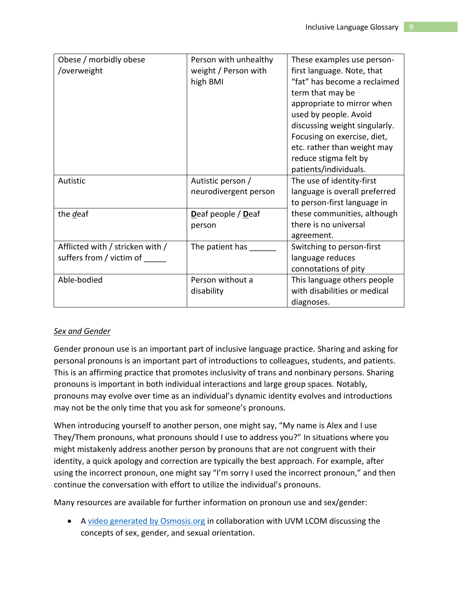| Obese / morbidly obese           | Person with unhealthy | These examples use person-    |
|----------------------------------|-----------------------|-------------------------------|
| /overweight                      | weight / Person with  | first language. Note, that    |
|                                  | high BMI              | "fat" has become a reclaimed  |
|                                  |                       | term that may be              |
|                                  |                       | appropriate to mirror when    |
|                                  |                       | used by people. Avoid         |
|                                  |                       | discussing weight singularly. |
|                                  |                       | Focusing on exercise, diet,   |
|                                  |                       | etc. rather than weight may   |
|                                  |                       | reduce stigma felt by         |
|                                  |                       | patients/individuals.         |
| Autistic                         | Autistic person /     | The use of identity-first     |
|                                  | neurodivergent person | language is overall preferred |
|                                  |                       | to person-first language in   |
| the deaf                         | Deaf people / Deaf    | these communities, although   |
|                                  | person                | there is no universal         |
|                                  |                       | agreement.                    |
| Afflicted with / stricken with / | The patient has       | Switching to person-first     |
| suffers from / victim of         |                       | language reduces              |
|                                  |                       | connotations of pity          |
| Able-bodied                      | Person without a      | This language others people   |
|                                  | disability            | with disabilities or medical  |
|                                  |                       | diagnoses.                    |

# *Sex and Gender*

Gender pronoun use is an important part of inclusive language practice. Sharing and asking for personal pronouns is an important part of introductions to colleagues, students, and patients. This is an affirming practice that promotes inclusivity of trans and nonbinary persons. Sharing pronouns is important in both individual interactions and large group spaces. Notably, pronouns may evolve over time as an individual's dynamic identity evolves and introductions may not be the only time that you ask for someone's pronouns.

When introducing yourself to another person, one might say, "My name is Alex and I use They/Them pronouns, what pronouns should I use to address you?" In situations where you might mistakenly address another person by pronouns that are not congruent with their identity, a quick apology and correction are typically the best approach. For example, after using the incorrect pronoun, one might say "I'm sorry I used the incorrect pronoun," and then continue the conversation with effort to utilize the individual's pronouns.

Many resources are available for further information on pronoun use and sex/gender:

• A [video generated by Osmosis.org](https://www.youtube.com/watch?v=xCMmZUu07IQ&t=4s) in collaboration with UVM LCOM discussing the concepts of sex, gender, and sexual orientation.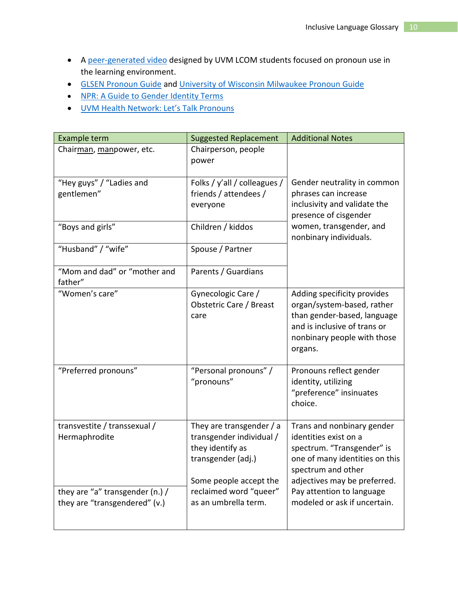- A [peer-generated video](https://www.youtube.com/watch?v=9HS5viIx0gk) designed by UVM LCOM students focused on pronoun use in the learning environment.
- [GLSEN Pronoun Guide](https://www.glsen.org/sites/default/files/GLSEN%20Pronouns%20Resource.pdf) and [University of Wisconsin Milwaukee Pronoun Guide](https://uwm.edu/lgbtrc/support/gender-pronouns/)
- NPR: A Guide to [Gender Identity Terms](https://www.npr.org/2021/06/02/996319297/gender-identity-pronouns-expression-guide-lgbtq)
- [UVM Health Network: Let's Talk Pronouns](https://www.uvmhealth.org/healthsource/lets-talk-pronouns)

| Example term                                                                                                      | <b>Suggested Replacement</b>                                                                                                                                               | <b>Additional Notes</b>                                                                                                                                                                                                                |
|-------------------------------------------------------------------------------------------------------------------|----------------------------------------------------------------------------------------------------------------------------------------------------------------------------|----------------------------------------------------------------------------------------------------------------------------------------------------------------------------------------------------------------------------------------|
| Chairman, manpower, etc.                                                                                          | Chairperson, people<br>power                                                                                                                                               |                                                                                                                                                                                                                                        |
| "Hey guys" / "Ladies and<br>gentlemen"                                                                            | Folks / y'all / colleagues /<br>friends / attendees /<br>everyone                                                                                                          | Gender neutrality in common<br>phrases can increase<br>inclusivity and validate the<br>presence of cisgender                                                                                                                           |
| "Boys and girls"                                                                                                  | Children / kiddos                                                                                                                                                          | women, transgender, and<br>nonbinary individuals.                                                                                                                                                                                      |
| "Husband" / "wife"                                                                                                | Spouse / Partner                                                                                                                                                           |                                                                                                                                                                                                                                        |
| "Mom and dad" or "mother and<br>father"                                                                           | Parents / Guardians                                                                                                                                                        |                                                                                                                                                                                                                                        |
| "Women's care"                                                                                                    | Gynecologic Care /<br>Obstetric Care / Breast<br>care                                                                                                                      | Adding specificity provides<br>organ/system-based, rather<br>than gender-based, language<br>and is inclusive of trans or<br>nonbinary people with those<br>organs.                                                                     |
| "Preferred pronouns"                                                                                              | "Personal pronouns" /<br>"pronouns"                                                                                                                                        | Pronouns reflect gender<br>identity, utilizing<br>"preference" insinuates<br>choice.                                                                                                                                                   |
| transvestite / transsexual /<br>Hermaphrodite<br>they are "a" transgender (n.) /<br>they are "transgendered" (v.) | They are transgender / a<br>transgender individual /<br>they identify as<br>transgender (adj.)<br>Some people accept the<br>reclaimed word "queer"<br>as an umbrella term. | Trans and nonbinary gender<br>identities exist on a<br>spectrum. "Transgender" is<br>one of many identities on this<br>spectrum and other<br>adjectives may be preferred.<br>Pay attention to language<br>modeled or ask if uncertain. |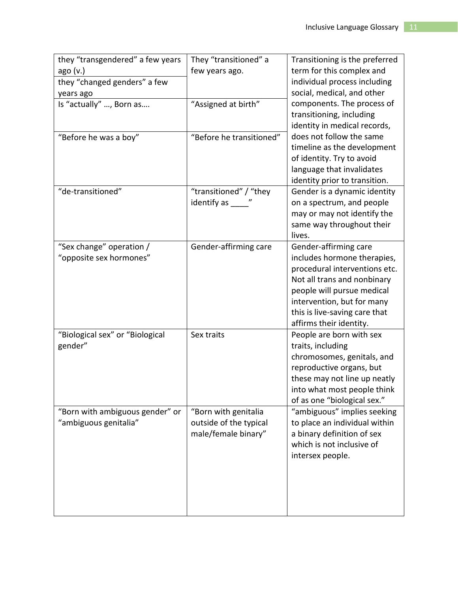| they "transgendered" a few years<br>ago (v.)             | They "transitioned" a<br>few years ago.                               | Transitioning is the preferred<br>term for this complex and                                                                                                                                                                                  |
|----------------------------------------------------------|-----------------------------------------------------------------------|----------------------------------------------------------------------------------------------------------------------------------------------------------------------------------------------------------------------------------------------|
| they "changed genders" a few<br>years ago                |                                                                       | individual process including<br>social, medical, and other                                                                                                                                                                                   |
| Is "actually" , Born as                                  | "Assigned at birth"                                                   | components. The process of<br>transitioning, including<br>identity in medical records,                                                                                                                                                       |
| "Before he was a boy"                                    | "Before he transitioned"                                              | does not follow the same<br>timeline as the development<br>of identity. Try to avoid<br>language that invalidates<br>identity prior to transition.                                                                                           |
| "de-transitioned"                                        | "transitioned" / "they<br>identify as "                               | Gender is a dynamic identity<br>on a spectrum, and people<br>may or may not identify the<br>same way throughout their<br>lives.                                                                                                              |
| "Sex change" operation /<br>"opposite sex hormones"      | Gender-affirming care                                                 | Gender-affirming care<br>includes hormone therapies,<br>procedural interventions etc.<br>Not all trans and nonbinary<br>people will pursue medical<br>intervention, but for many<br>this is live-saving care that<br>affirms their identity. |
| "Biological sex" or "Biological<br>gender"               | Sex traits                                                            | People are born with sex<br>traits, including<br>chromosomes, genitals, and<br>reproductive organs, but<br>these may not line up neatly<br>into what most people think<br>of as one "biological sex."                                        |
| "Born with ambiguous gender" or<br>"ambiguous genitalia" | "Born with genitalia<br>outside of the typical<br>male/female binary" | "ambiguous" implies seeking<br>to place an individual within<br>a binary definition of sex<br>which is not inclusive of<br>intersex people.                                                                                                  |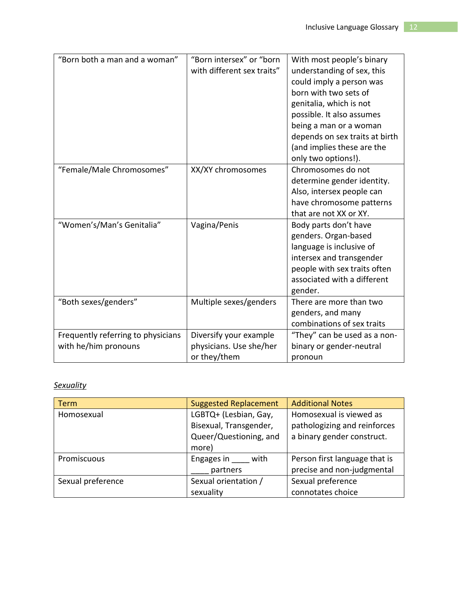| "Born both a man and a woman"      | "Born intersex" or "born   | With most people's binary      |
|------------------------------------|----------------------------|--------------------------------|
|                                    | with different sex traits" | understanding of sex, this     |
|                                    |                            | could imply a person was       |
|                                    |                            | born with two sets of          |
|                                    |                            | genitalia, which is not        |
|                                    |                            | possible. It also assumes      |
|                                    |                            | being a man or a woman         |
|                                    |                            | depends on sex traits at birth |
|                                    |                            | (and implies these are the     |
|                                    |                            | only two options!).            |
| "Female/Male Chromosomes"          | XX/XY chromosomes          | Chromosomes do not             |
|                                    |                            | determine gender identity.     |
|                                    |                            | Also, intersex people can      |
|                                    |                            | have chromosome patterns       |
|                                    |                            | that are not XX or XY.         |
| "Women's/Man's Genitalia"          | Vagina/Penis               | Body parts don't have          |
|                                    |                            | genders. Organ-based           |
|                                    |                            | language is inclusive of       |
|                                    |                            | intersex and transgender       |
|                                    |                            | people with sex traits often   |
|                                    |                            | associated with a different    |
|                                    |                            | gender.                        |
| "Both sexes/genders"               | Multiple sexes/genders     | There are more than two        |
|                                    |                            | genders, and many              |
|                                    |                            | combinations of sex traits     |
| Frequently referring to physicians | Diversify your example     | "They" can be used as a non-   |
| with he/him pronouns               | physicians. Use she/her    | binary or gender-neutral       |
|                                    | or they/them               | pronoun                        |

# *Sexuality*

| <b>Term</b>       | <b>Suggested Replacement</b> | <b>Additional Notes</b>       |
|-------------------|------------------------------|-------------------------------|
| Homosexual        | LGBTQ+ (Lesbian, Gay,        | Homosexual is viewed as       |
|                   | Bisexual, Transgender,       | pathologizing and reinforces  |
|                   | Queer/Questioning, and       | a binary gender construct.    |
|                   | more)                        |                               |
| Promiscuous       | Engages in with              | Person first language that is |
|                   | partners                     | precise and non-judgmental    |
| Sexual preference | Sexual orientation /         | Sexual preference             |
|                   | sexuality                    | connotates choice             |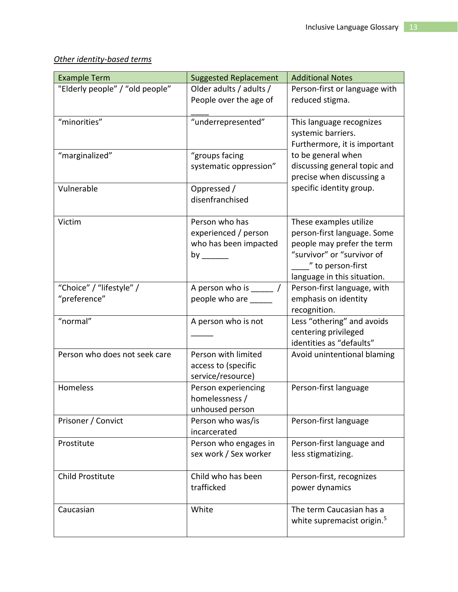# *Other identity-based terms*

| <b>Example Term</b>                      | <b>Suggested Replacement</b>                                                                                                                                                      | <b>Additional Notes</b>                                                                                                                                               |
|------------------------------------------|-----------------------------------------------------------------------------------------------------------------------------------------------------------------------------------|-----------------------------------------------------------------------------------------------------------------------------------------------------------------------|
| "Elderly people" / "old people"          | Older adults / adults /<br>People over the age of                                                                                                                                 | Person-first or language with<br>reduced stigma.                                                                                                                      |
| "minorities"                             | "underrepresented"                                                                                                                                                                | This language recognizes<br>systemic barriers.<br>Furthermore, it is important                                                                                        |
| "marginalized"                           | "groups facing<br>systematic oppression"                                                                                                                                          | to be general when<br>discussing general topic and<br>precise when discussing a                                                                                       |
| Vulnerable                               | Oppressed /<br>disenfranchised                                                                                                                                                    | specific identity group.                                                                                                                                              |
| Victim                                   | Person who has<br>experienced / person<br>who has been impacted<br>by the control of the control of the control of the control of the control of the control of the control of th | These examples utilize<br>person-first language. Some<br>people may prefer the term<br>"survivor" or "survivor of<br>" to person-first<br>language in this situation. |
| "Choice" / "lifestyle" /<br>"preference" | A person who is $\frac{1}{2}$ /<br>people who are                                                                                                                                 | Person-first language, with<br>emphasis on identity<br>recognition.                                                                                                   |
| "normal"                                 | A person who is not                                                                                                                                                               | Less "othering" and avoids<br>centering privileged<br>identities as "defaults"                                                                                        |
| Person who does not seek care            | Person with limited<br>access to (specific<br>service/resource)                                                                                                                   | Avoid unintentional blaming                                                                                                                                           |
| Homeless                                 | Person experiencing<br>homelessness /<br>unhoused person                                                                                                                          | Person-first language                                                                                                                                                 |
| Prisoner / Convict                       | Person who was/is<br>incarcerated                                                                                                                                                 | Person-first language                                                                                                                                                 |
| Prostitute                               | Person who engages in<br>sex work / Sex worker                                                                                                                                    | Person-first language and<br>less stigmatizing.                                                                                                                       |
| <b>Child Prostitute</b>                  | Child who has been<br>trafficked                                                                                                                                                  | Person-first, recognizes<br>power dynamics                                                                                                                            |
| Caucasian                                | White                                                                                                                                                                             | The term Caucasian has a<br>white supremacist origin. <sup>5</sup>                                                                                                    |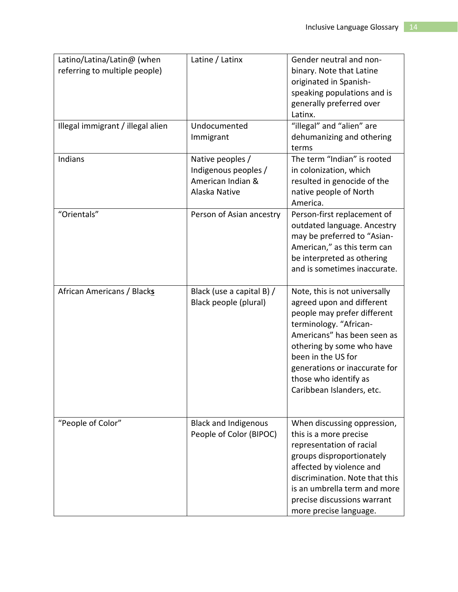| Latino/Latina/Latin@ (when        | Latine / Latinx             | Gender neutral and non-        |
|-----------------------------------|-----------------------------|--------------------------------|
| referring to multiple people)     |                             | binary. Note that Latine       |
|                                   |                             | originated in Spanish-         |
|                                   |                             | speaking populations and is    |
|                                   |                             | generally preferred over       |
|                                   |                             | Latinx.                        |
|                                   | Undocumented                |                                |
| Illegal immigrant / illegal alien |                             | "illegal" and "alien" are      |
|                                   | Immigrant                   | dehumanizing and othering      |
|                                   |                             | terms                          |
| Indians                           | Native peoples /            | The term "Indian" is rooted    |
|                                   | Indigenous peoples /        | in colonization, which         |
|                                   | American Indian &           | resulted in genocide of the    |
|                                   | Alaska Native               | native people of North         |
|                                   |                             | America.                       |
| "Orientals"                       | Person of Asian ancestry    | Person-first replacement of    |
|                                   |                             | outdated language. Ancestry    |
|                                   |                             | may be preferred to "Asian-    |
|                                   |                             | American," as this term can    |
|                                   |                             | be interpreted as othering     |
|                                   |                             | and is sometimes inaccurate.   |
|                                   |                             |                                |
| African Americans / Blacks        | Black (use a capital B) /   | Note, this is not universally  |
|                                   | Black people (plural)       | agreed upon and different      |
|                                   |                             | people may prefer different    |
|                                   |                             | terminology. "African-         |
|                                   |                             | Americans" has been seen as    |
|                                   |                             | othering by some who have      |
|                                   |                             | been in the US for             |
|                                   |                             | generations or inaccurate for  |
|                                   |                             | those who identify as          |
|                                   |                             | Caribbean Islanders, etc.      |
|                                   |                             |                                |
|                                   |                             |                                |
| "People of Color"                 | <b>Black and Indigenous</b> | When discussing oppression,    |
|                                   | People of Color (BIPOC)     | this is a more precise         |
|                                   |                             | representation of racial       |
|                                   |                             | groups disproportionately      |
|                                   |                             | affected by violence and       |
|                                   |                             | discrimination. Note that this |
|                                   |                             | is an umbrella term and more   |
|                                   |                             | precise discussions warrant    |
|                                   |                             | more precise language.         |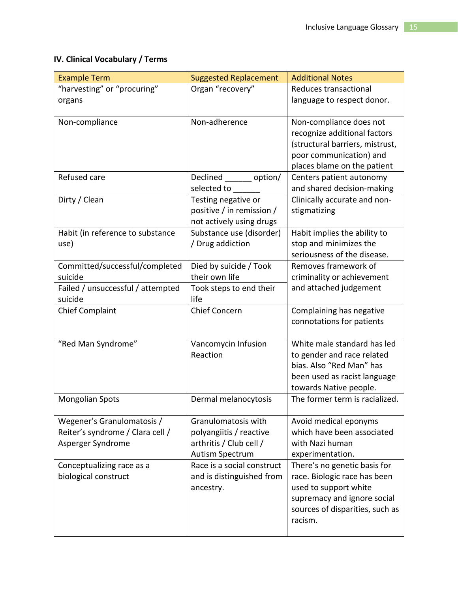# **IV. Clinical Vocabulary / Terms**

| <b>Example Term</b>                                                                                              | <b>Suggested Replacement</b>                                                                                               | <b>Additional Notes</b>                                                                                                                              |
|------------------------------------------------------------------------------------------------------------------|----------------------------------------------------------------------------------------------------------------------------|------------------------------------------------------------------------------------------------------------------------------------------------------|
| "harvesting" or "procuring"                                                                                      | Organ "recovery"                                                                                                           | Reduces transactional                                                                                                                                |
| organs                                                                                                           |                                                                                                                            | language to respect donor.                                                                                                                           |
| Non-compliance                                                                                                   | Non-adherence                                                                                                              | Non-compliance does not<br>recognize additional factors<br>(structural barriers, mistrust,<br>poor communication) and<br>places blame on the patient |
| Refused care                                                                                                     | Declined ________ option/<br>selected to                                                                                   | Centers patient autonomy<br>and shared decision-making                                                                                               |
| Dirty / Clean                                                                                                    | Testing negative or<br>positive / in remission /<br>not actively using drugs                                               | Clinically accurate and non-<br>stigmatizing                                                                                                         |
| Habit (in reference to substance<br>use)                                                                         | Substance use (disorder)<br>/ Drug addiction                                                                               | Habit implies the ability to<br>stop and minimizes the<br>seriousness of the disease.                                                                |
| Committed/successful/completed                                                                                   | Died by suicide / Took                                                                                                     | Removes framework of                                                                                                                                 |
| suicide                                                                                                          | their own life                                                                                                             | criminality or achievement                                                                                                                           |
| Failed / unsuccessful / attempted<br>suicide                                                                     | Took steps to end their<br>life                                                                                            | and attached judgement                                                                                                                               |
| <b>Chief Complaint</b>                                                                                           | <b>Chief Concern</b>                                                                                                       | Complaining has negative<br>connotations for patients                                                                                                |
| "Red Man Syndrome"                                                                                               | Vancomycin Infusion<br>Reaction                                                                                            | White male standard has led<br>to gender and race related<br>bias. Also "Red Man" has<br>been used as racist language<br>towards Native people.      |
| <b>Mongolian Spots</b>                                                                                           | Dermal melanocytosis                                                                                                       | The former term is racialized.                                                                                                                       |
| Wegener's Granulomatosis /<br>Reiter's syndrome / Clara cell /<br>Asperger Syndrome<br>Conceptualizing race as a | Granulomatosis with<br>polyangiitis / reactive<br>arthritis / Club cell /<br>Autism Spectrum<br>Race is a social construct | Avoid medical eponyms<br>which have been associated<br>with Nazi human<br>experimentation.<br>There's no genetic basis for                           |
| biological construct                                                                                             | and is distinguished from<br>ancestry.                                                                                     | race. Biologic race has been<br>used to support white<br>supremacy and ignore social<br>sources of disparities, such as<br>racism.                   |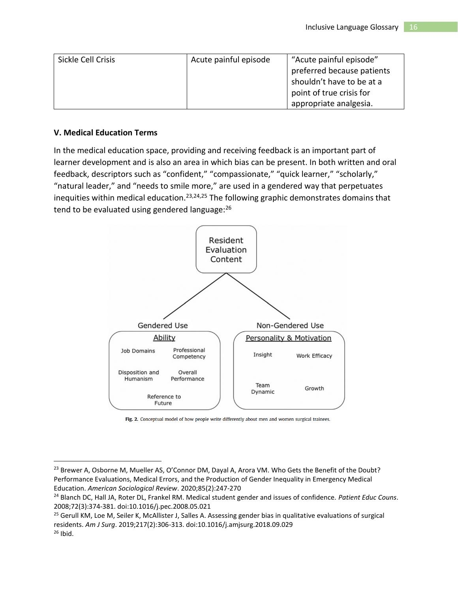| Sickle Cell Crisis | Acute painful episode | "Acute painful episode"    |
|--------------------|-----------------------|----------------------------|
|                    |                       | preferred because patients |
|                    |                       | shouldn't have to be at a  |
|                    |                       | point of true crisis for   |
|                    |                       | appropriate analgesia.     |

#### **V. Medical Education Terms**

In the medical education space, providing and receiving feedback is an important part of learner development and is also an area in which bias can be present. In both written and oral feedback, descriptors such as "confident," "compassionate," "quick learner," "scholarly," "natural leader," and "needs to smile more," are used in a gendered way that perpetuates inequities within medical education.<sup>23,24,25</sup> The following graphic demonstrates domains that tend to be evaluated using gendered language:<sup>26</sup>



Fig. 2. Conceptual model of how people write differently about men and women surgical trainees.

<sup>&</sup>lt;sup>23</sup> Brewer A, Osborne M, Mueller AS, O'Connor DM, Dayal A, Arora VM. Who Gets the Benefit of the Doubt? Performance Evaluations, Medical Errors, and the Production of Gender Inequality in Emergency Medical Education. *American Sociological Review*. 2020;85(2):247-270

<sup>24</sup> Blanch DC, Hall JA, Roter DL, Frankel RM. Medical student gender and issues of confidence. *Patient Educ Couns*. 2008;72(3):374-381. doi:10.1016/j.pec.2008.05.021

<sup>&</sup>lt;sup>25</sup> Gerull KM, Loe M, Seiler K, McAllister J, Salles A. Assessing gender bias in qualitative evaluations of surgical residents. *Am J Surg*. 2019;217(2):306-313. doi:10.1016/j.amjsurg.2018.09.029  $26$  Ibid.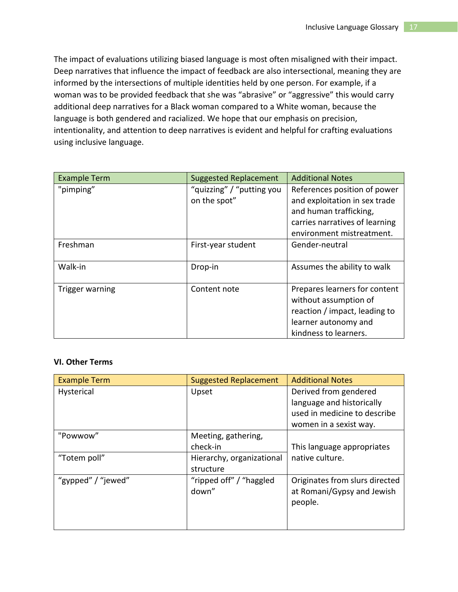The impact of evaluations utilizing biased language is most often misaligned with their impact. Deep narratives that influence the impact of feedback are also intersectional, meaning they are informed by the intersections of multiple identities held by one person. For example, if a woman was to be provided feedback that she was "abrasive" or "aggressive" this would carry additional deep narratives for a Black woman compared to a White woman, because the language is both gendered and racialized. We hope that our emphasis on precision, intentionality, and attention to deep narratives is evident and helpful for crafting evaluations using inclusive language.

| <b>Example Term</b> | <b>Suggested Replacement</b> | <b>Additional Notes</b>        |
|---------------------|------------------------------|--------------------------------|
| "pimping"           | "quizzing" / "putting you    | References position of power   |
|                     | on the spot"                 | and exploitation in sex trade  |
|                     |                              | and human trafficking,         |
|                     |                              | carries narratives of learning |
|                     |                              | environment mistreatment.      |
| Freshman            | First-year student           | Gender-neutral                 |
|                     |                              |                                |
| Walk-in             | Drop-in                      | Assumes the ability to walk    |
|                     |                              |                                |
| Trigger warning     | Content note                 | Prepares learners for content  |
|                     |                              | without assumption of          |
|                     |                              | reaction / impact, leading to  |
|                     |                              | learner autonomy and           |
|                     |                              | kindness to learners.          |

### **VI. Other Terms**

| <b>Example Term</b> | <b>Suggested Replacement</b> | <b>Additional Notes</b>        |
|---------------------|------------------------------|--------------------------------|
| Hysterical          | Upset                        | Derived from gendered          |
|                     |                              | language and historically      |
|                     |                              | used in medicine to describe   |
|                     |                              | women in a sexist way.         |
| "Powwow"            | Meeting, gathering,          |                                |
|                     | check-in                     | This language appropriates     |
| "Totem poll"        | Hierarchy, organizational    | native culture.                |
|                     | structure                    |                                |
| "gypped" / "jewed"  | "ripped off" / "haggled"     | Originates from slurs directed |
|                     | down"                        | at Romani/Gypsy and Jewish     |
|                     |                              | people.                        |
|                     |                              |                                |
|                     |                              |                                |